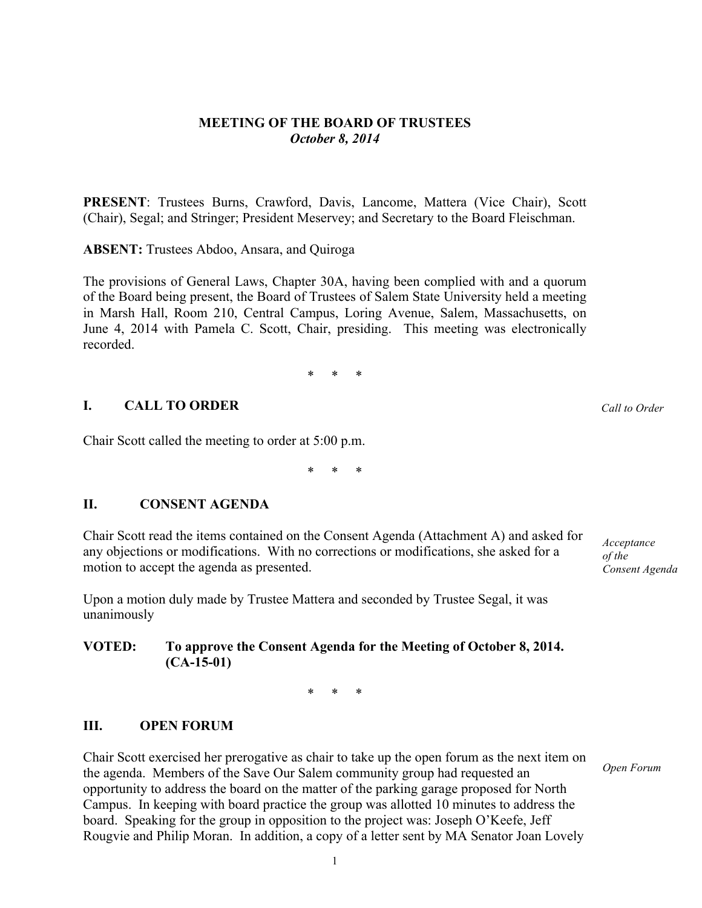# **MEETING OF THE BOARD OF TRUSTEES** *October 8, 2014*

**PRESENT**: Trustees Burns, Crawford, Davis, Lancome, Mattera (Vice Chair), Scott (Chair), Segal; and Stringer; President Meservey; and Secretary to the Board Fleischman.

**ABSENT:** Trustees Abdoo, Ansara, and Quiroga

The provisions of General Laws, Chapter 30A, having been complied with and a quorum of the Board being present, the Board of Trustees of Salem State University held a meeting in Marsh Hall, Room 210, Central Campus, Loring Avenue, Salem, Massachusetts, on June 4, 2014 with Pamela C. Scott, Chair, presiding. This meeting was electronically recorded.

\* \* \*

# **I. CALL TO ORDER**

Chair Scott called the meeting to order at 5:00 p.m.

\* \* \*

# **II. CONSENT AGENDA**

Chair Scott read the items contained on the Consent Agenda (Attachment A) and asked for any objections or modifications. With no corrections or modifications, she asked for a motion to accept the agenda as presented.

Upon a motion duly made by Trustee Mattera and seconded by Trustee Segal, it was unanimously

# **VOTED: To approve the Consent Agenda for the Meeting of October 8, 2014. (CA-15-01)**

\* \* \*

# **III. OPEN FORUM**

Chair Scott exercised her prerogative as chair to take up the open forum as the next item on the agenda. Members of the Save Our Salem community group had requested an opportunity to address the board on the matter of the parking garage proposed for North Campus. In keeping with board practice the group was allotted 10 minutes to address the board. Speaking for the group in opposition to the project was: Joseph O'Keefe, Jeff Rougvie and Philip Moran. In addition, a copy of a letter sent by MA Senator Joan Lovely

*Acceptance of the Consent Agenda*

*Open Forum*

*Call to Order*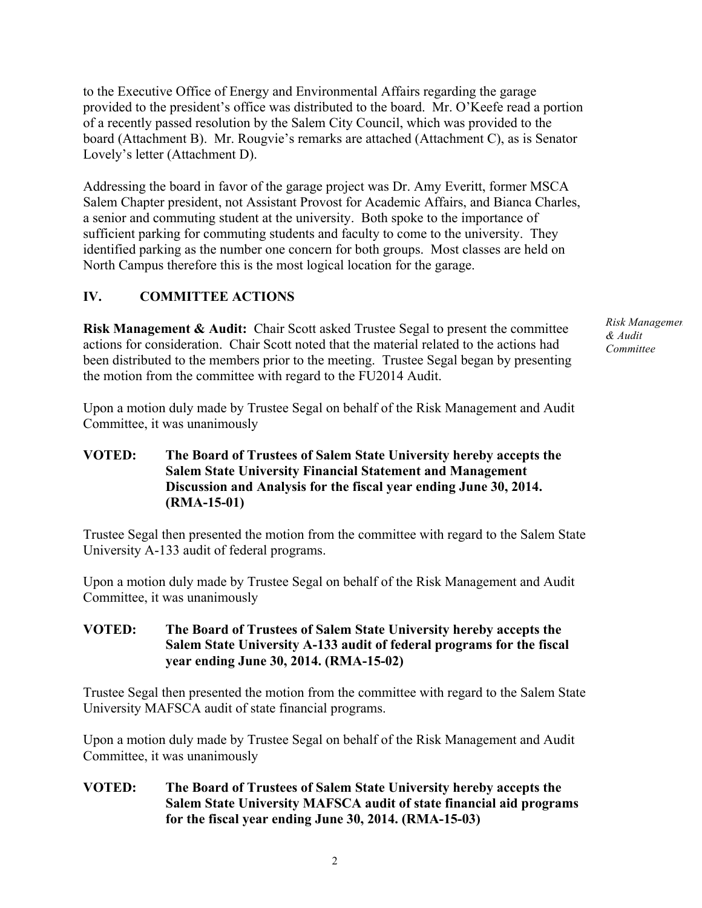to the Executive Office of Energy and Environmental Affairs regarding the garage provided to the president's office was distributed to the board. Mr. O'Keefe read a portion of a recently passed resolution by the Salem City Council, which was provided to the board (Attachment B). Mr. Rougvie's remarks are attached (Attachment C), as is Senator Lovely's letter (Attachment D).

Addressing the board in favor of the garage project was Dr. Amy Everitt, former MSCA Salem Chapter president, not Assistant Provost for Academic Affairs, and Bianca Charles, a senior and commuting student at the university. Both spoke to the importance of sufficient parking for commuting students and faculty to come to the university. They identified parking as the number one concern for both groups. Most classes are held on North Campus therefore this is the most logical location for the garage.

# **IV. COMMITTEE ACTIONS**

**Risk Management & Audit:** Chair Scott asked Trustee Segal to present the committee actions for consideration. Chair Scott noted that the material related to the actions had been distributed to the members prior to the meeting. Trustee Segal began by presenting the motion from the committee with regard to the FU2014 Audit.

Upon a motion duly made by Trustee Segal on behalf of the Risk Management and Audit Committee, it was unanimously

### **VOTED: The Board of Trustees of Salem State University hereby accepts the Salem State University Financial Statement and Management Discussion and Analysis for the fiscal year ending June 30, 2014. (RMA-15-01)**

Trustee Segal then presented the motion from the committee with regard to the Salem State University A-133 audit of federal programs.

Upon a motion duly made by Trustee Segal on behalf of the Risk Management and Audit Committee, it was unanimously

#### **VOTED: The Board of Trustees of Salem State University hereby accepts the Salem State University A-133 audit of federal programs for the fiscal year ending June 30, 2014. (RMA-15-02)**

Trustee Segal then presented the motion from the committee with regard to the Salem State University MAFSCA audit of state financial programs.

Upon a motion duly made by Trustee Segal on behalf of the Risk Management and Audit Committee, it was unanimously

### **VOTED: The Board of Trustees of Salem State University hereby accepts the Salem State University MAFSCA audit of state financial aid programs for the fiscal year ending June 30, 2014. (RMA-15-03)**

**Risk Management** *& Audit Committee*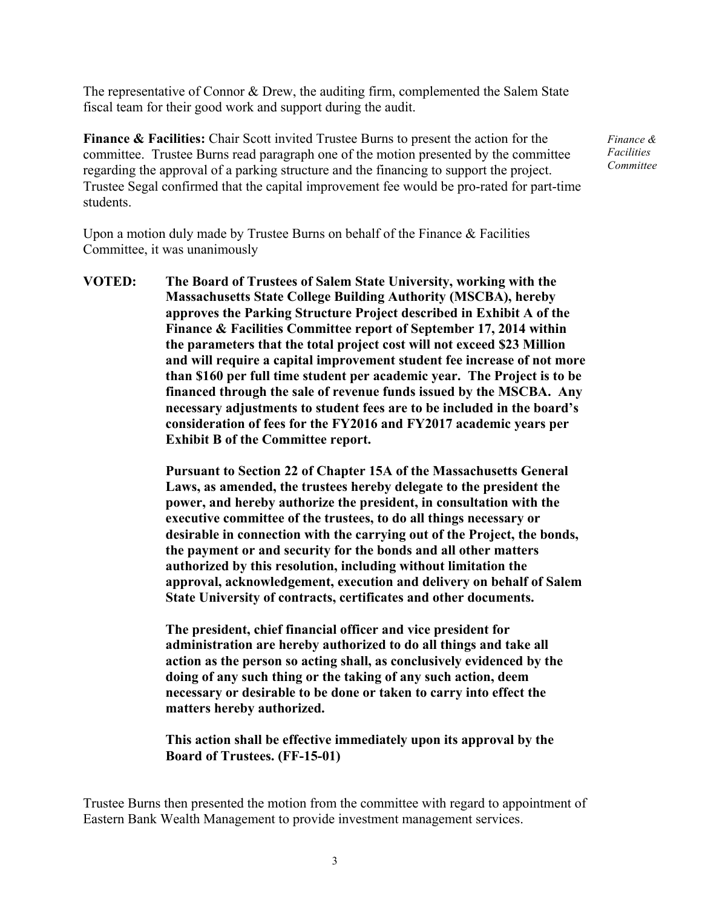The representative of Connor & Drew, the auditing firm, complemented the Salem State fiscal team for their good work and support during the audit.

**Finance & Facilities:** Chair Scott invited Trustee Burns to present the action for the committee. Trustee Burns read paragraph one of the motion presented by the committee regarding the approval of a parking structure and the financing to support the project. Trustee Segal confirmed that the capital improvement fee would be pro-rated for part-time students.

*Finance & Facilities Committee*

Upon a motion duly made by Trustee Burns on behalf of the Finance  $\&$  Facilities Committee, it was unanimously

**VOTED: The Board of Trustees of Salem State University, working with the Massachusetts State College Building Authority (MSCBA), hereby approves the Parking Structure Project described in Exhibit A of the Finance & Facilities Committee report of September 17, 2014 within the parameters that the total project cost will not exceed \$23 Million and will require a capital improvement student fee increase of not more than \$160 per full time student per academic year. The Project is to be financed through the sale of revenue funds issued by the MSCBA. Any necessary adjustments to student fees are to be included in the board's consideration of fees for the FY2016 and FY2017 academic years per Exhibit B of the Committee report.**

> **Pursuant to Section 22 of Chapter 15A of the Massachusetts General Laws, as amended, the trustees hereby delegate to the president the power, and hereby authorize the president, in consultation with the executive committee of the trustees, to do all things necessary or desirable in connection with the carrying out of the Project, the bonds, the payment or and security for the bonds and all other matters authorized by this resolution, including without limitation the approval, acknowledgement, execution and delivery on behalf of Salem State University of contracts, certificates and other documents.**

**The president, chief financial officer and vice president for administration are hereby authorized to do all things and take all action as the person so acting shall, as conclusively evidenced by the doing of any such thing or the taking of any such action, deem necessary or desirable to be done or taken to carry into effect the matters hereby authorized.**

**This action shall be effective immediately upon its approval by the Board of Trustees. (FF-15-01)**

Trustee Burns then presented the motion from the committee with regard to appointment of Eastern Bank Wealth Management to provide investment management services.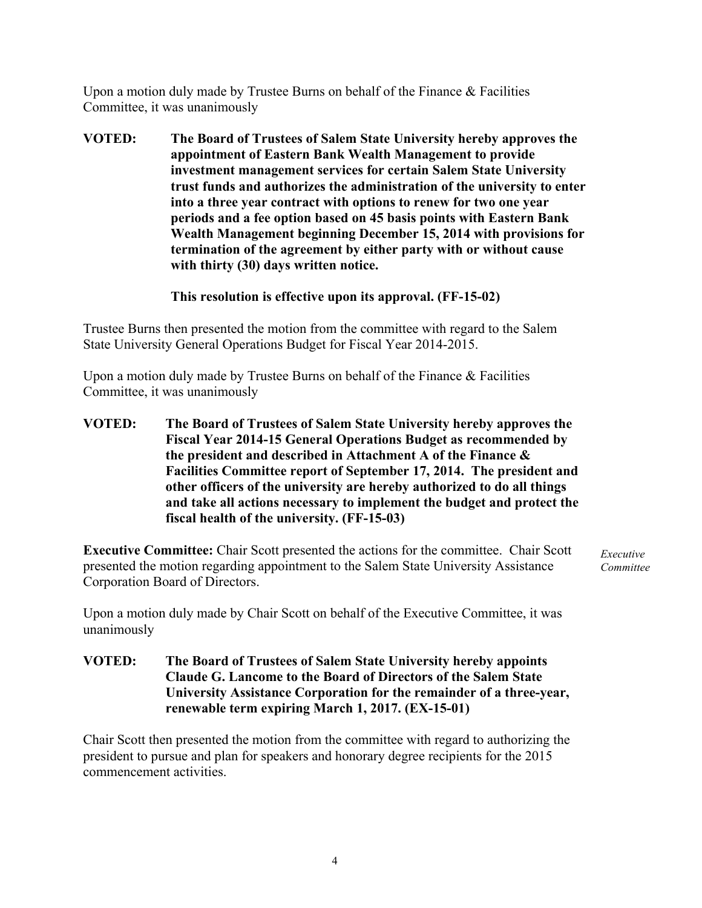Upon a motion duly made by Trustee Burns on behalf of the Finance & Facilities Committee, it was unanimously

**VOTED: The Board of Trustees of Salem State University hereby approves the appointment of Eastern Bank Wealth Management to provide investment management services for certain Salem State University trust funds and authorizes the administration of the university to enter into a three year contract with options to renew for two one year periods and a fee option based on 45 basis points with Eastern Bank Wealth Management beginning December 15, 2014 with provisions for termination of the agreement by either party with or without cause with thirty (30) days written notice.**

### **This resolution is effective upon its approval. (FF-15-02)**

Trustee Burns then presented the motion from the committee with regard to the Salem State University General Operations Budget for Fiscal Year 2014-2015.

Upon a motion duly made by Trustee Burns on behalf of the Finance & Facilities Committee, it was unanimously

**VOTED: The Board of Trustees of Salem State University hereby approves the Fiscal Year 2014-15 General Operations Budget as recommended by the president and described in Attachment A of the Finance & Facilities Committee report of September 17, 2014. The president and other officers of the university are hereby authorized to do all things and take all actions necessary to implement the budget and protect the fiscal health of the university. (FF-15-03)**

**Executive Committee:** Chair Scott presented the actions for the committee. Chair Scott presented the motion regarding appointment to the Salem State University Assistance Corporation Board of Directors.

*Executive Committee*

Upon a motion duly made by Chair Scott on behalf of the Executive Committee, it was unanimously

**VOTED: The Board of Trustees of Salem State University hereby appoints Claude G. Lancome to the Board of Directors of the Salem State University Assistance Corporation for the remainder of a three-year, renewable term expiring March 1, 2017. (EX-15-01)**

Chair Scott then presented the motion from the committee with regard to authorizing the president to pursue and plan for speakers and honorary degree recipients for the 2015 commencement activities.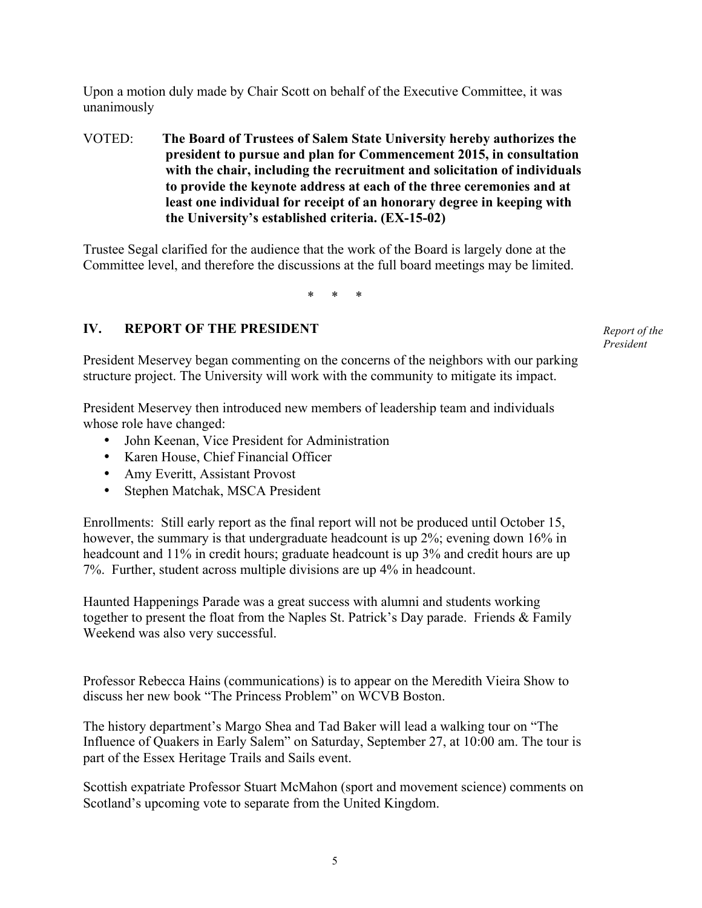Upon a motion duly made by Chair Scott on behalf of the Executive Committee, it was unanimously

VOTED: **The Board of Trustees of Salem State University hereby authorizes the president to pursue and plan for Commencement 2015, in consultation with the chair, including the recruitment and solicitation of individuals to provide the keynote address at each of the three ceremonies and at least one individual for receipt of an honorary degree in keeping with the University's established criteria. (EX-15-02)**

Trustee Segal clarified for the audience that the work of the Board is largely done at the Committee level, and therefore the discussions at the full board meetings may be limited.

\* \* \*

### **IV. REPORT OF THE PRESIDENT**

*Report of the President*

President Meservey began commenting on the concerns of the neighbors with our parking structure project. The University will work with the community to mitigate its impact.

President Meservey then introduced new members of leadership team and individuals whose role have changed:

- John Keenan, Vice President for Administration
- Karen House, Chief Financial Officer
- Amy Everitt, Assistant Provost
- Stephen Matchak, MSCA President

Enrollments: Still early report as the final report will not be produced until October 15, however, the summary is that undergraduate headcount is up 2%; evening down 16% in headcount and 11% in credit hours; graduate headcount is up 3% and credit hours are up 7%. Further, student across multiple divisions are up 4% in headcount.

Haunted Happenings Parade was a great success with alumni and students working together to present the float from the Naples St. Patrick's Day parade. Friends & Family Weekend was also very successful.

Professor Rebecca Hains (communications) is to appear on the Meredith Vieira Show to discuss her new book "The Princess Problem" on WCVB Boston.

The history department's Margo Shea and Tad Baker will lead a walking tour on "The Influence of Quakers in Early Salem" on Saturday, September 27, at 10:00 am. The tour is part of the Essex Heritage Trails and Sails event.

Scottish expatriate Professor Stuart McMahon (sport and movement science) comments on Scotland's upcoming vote to separate from the United Kingdom.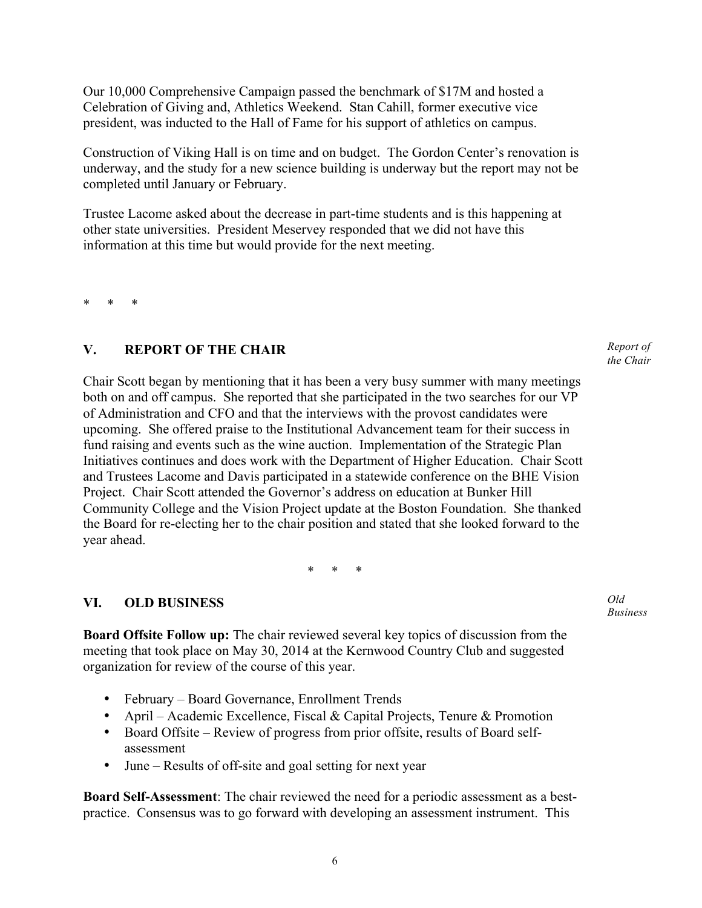Our 10,000 Comprehensive Campaign passed the benchmark of \$17M and hosted a Celebration of Giving and, Athletics Weekend. Stan Cahill, former executive vice president, was inducted to the Hall of Fame for his support of athletics on campus.

Construction of Viking Hall is on time and on budget. The Gordon Center's renovation is underway, and the study for a new science building is underway but the report may not be completed until January or February.

Trustee Lacome asked about the decrease in part-time students and is this happening at other state universities. President Meservey responded that we did not have this information at this time but would provide for the next meeting.

\* \* \*

# **V. REPORT OF THE CHAIR**

Chair Scott began by mentioning that it has been a very busy summer with many meetings both on and off campus. She reported that she participated in the two searches for our VP of Administration and CFO and that the interviews with the provost candidates were upcoming. She offered praise to the Institutional Advancement team for their success in fund raising and events such as the wine auction. Implementation of the Strategic Plan Initiatives continues and does work with the Department of Higher Education. Chair Scott and Trustees Lacome and Davis participated in a statewide conference on the BHE Vision Project. Chair Scott attended the Governor's address on education at Bunker Hill Community College and the Vision Project update at the Boston Foundation. She thanked the Board for re-electing her to the chair position and stated that she looked forward to the year ahead.

\* \* \*

# **VI. OLD BUSINESS**

**Board Offsite Follow up:** The chair reviewed several key topics of discussion from the meeting that took place on May 30, 2014 at the Kernwood Country Club and suggested organization for review of the course of this year.

- February Board Governance, Enrollment Trends
- April Academic Excellence, Fiscal & Capital Projects, Tenure & Promotion
- Board Offsite Review of progress from prior offsite, results of Board selfassessment
- June Results of off-site and goal setting for next year

**Board Self-Assessment**: The chair reviewed the need for a periodic assessment as a bestpractice. Consensus was to go forward with developing an assessment instrument. This

*Report of the Chair*

*Old Business*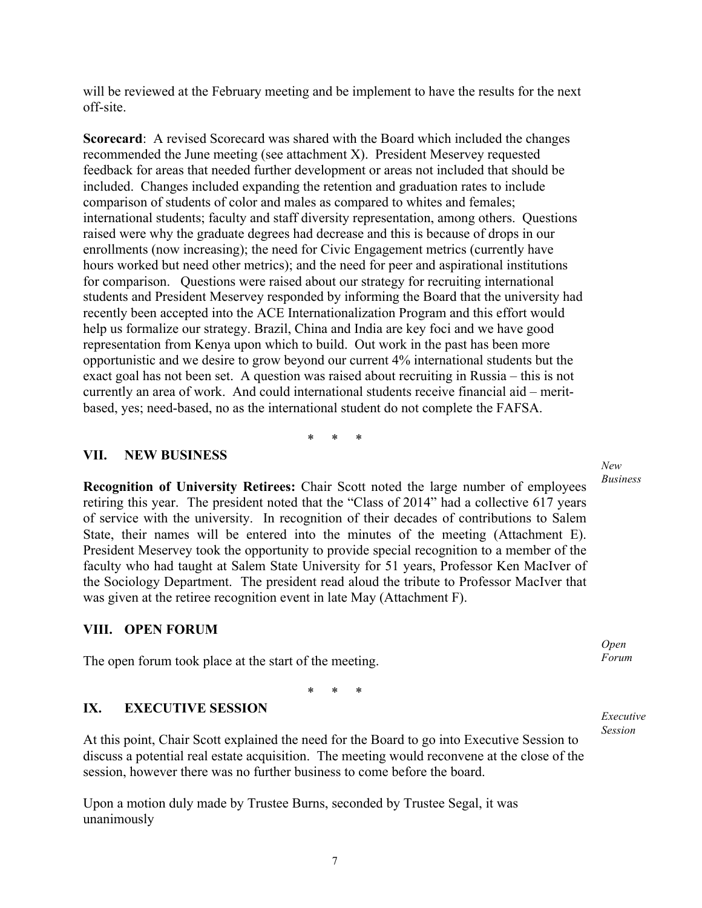will be reviewed at the February meeting and be implement to have the results for the next off-site.

**Scorecard**: A revised Scorecard was shared with the Board which included the changes recommended the June meeting (see attachment X). President Meservey requested feedback for areas that needed further development or areas not included that should be included. Changes included expanding the retention and graduation rates to include comparison of students of color and males as compared to whites and females; international students; faculty and staff diversity representation, among others. Questions raised were why the graduate degrees had decrease and this is because of drops in our enrollments (now increasing); the need for Civic Engagement metrics (currently have hours worked but need other metrics); and the need for peer and aspirational institutions for comparison. Questions were raised about our strategy for recruiting international students and President Meservey responded by informing the Board that the university had recently been accepted into the ACE Internationalization Program and this effort would help us formalize our strategy. Brazil, China and India are key foci and we have good representation from Kenya upon which to build. Out work in the past has been more opportunistic and we desire to grow beyond our current 4% international students but the exact goal has not been set. A question was raised about recruiting in Russia – this is not currently an area of work. And could international students receive financial aid – meritbased, yes; need-based, no as the international student do not complete the FAFSA.

\* \* \*

#### **VII. NEW BUSINESS**

**Recognition of University Retirees:** Chair Scott noted the large number of employees retiring this year. The president noted that the "Class of 2014" had a collective 617 years of service with the university. In recognition of their decades of contributions to Salem State, their names will be entered into the minutes of the meeting (Attachment E). President Meservey took the opportunity to provide special recognition to a member of the faculty who had taught at Salem State University for 51 years, Professor Ken MacIver of the Sociology Department. The president read aloud the tribute to Professor MacIver that was given at the retiree recognition event in late May (Attachment F).

#### **VIII. OPEN FORUM**

The open forum took place at the start of the meeting.

\* \* \*

#### **IX. EXECUTIVE SESSION**

At this point, Chair Scott explained the need for the Board to go into Executive Session to discuss a potential real estate acquisition. The meeting would reconvene at the close of the session, however there was no further business to come before the board.

Upon a motion duly made by Trustee Burns, seconded by Trustee Segal, it was unanimously

*New Business*

*ew Business Open Forum*

*Executive Session*